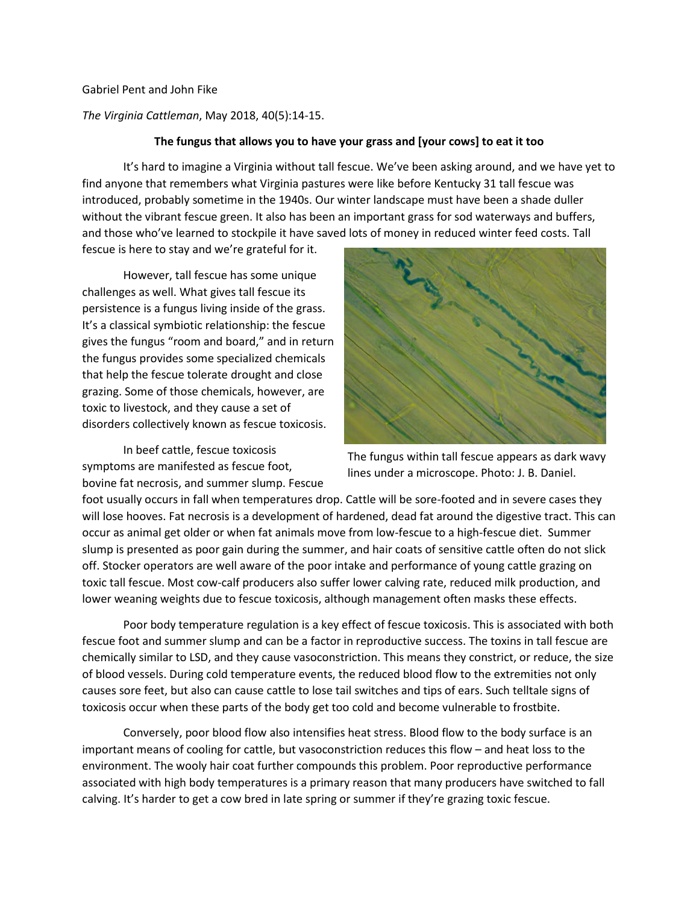## Gabriel Pent and John Fike

## *The Virginia Cattleman*, May 2018, 40(5):14-15.

## **The fungus that allows you to have your grass and [your cows] to eat it too**

It's hard to imagine a Virginia without tall fescue. We've been asking around, and we have yet to find anyone that remembers what Virginia pastures were like before Kentucky 31 tall fescue was introduced, probably sometime in the 1940s. Our winter landscape must have been a shade duller without the vibrant fescue green. It also has been an important grass for sod waterways and buffers, and those who've learned to stockpile it have saved lots of money in reduced winter feed costs. Tall

fescue is here to stay and we're grateful for it.

However, tall fescue has some unique challenges as well. What gives tall fescue its persistence is a fungus living inside of the grass. It's a classical symbiotic relationship: the fescue gives the fungus "room and board," and in return the fungus provides some specialized chemicals that help the fescue tolerate drought and close grazing. Some of those chemicals, however, are toxic to livestock, and they cause a set of disorders collectively known as fescue toxicosis.

In beef cattle, fescue toxicosis symptoms are manifested as fescue foot, bovine fat necrosis, and summer slump. Fescue



The fungus within tall fescue appears as dark wavy lines under a microscope. Photo: J. B. Daniel.

foot usually occurs in fall when temperatures drop. Cattle will be sore-footed and in severe cases they will lose hooves. Fat necrosis is a development of hardened, dead fat around the digestive tract. This can occur as animal get older or when fat animals move from low-fescue to a high-fescue diet. Summer slump is presented as poor gain during the summer, and hair coats of sensitive cattle often do not slick off. Stocker operators are well aware of the poor intake and performance of young cattle grazing on toxic tall fescue. Most cow-calf producers also suffer lower calving rate, reduced milk production, and lower weaning weights due to fescue toxicosis, although management often masks these effects.

Poor body temperature regulation is a key effect of fescue toxicosis. This is associated with both fescue foot and summer slump and can be a factor in reproductive success. The toxins in tall fescue are chemically similar to LSD, and they cause vasoconstriction. This means they constrict, or reduce, the size of blood vessels. During cold temperature events, the reduced blood flow to the extremities not only causes sore feet, but also can cause cattle to lose tail switches and tips of ears. Such telltale signs of toxicosis occur when these parts of the body get too cold and become vulnerable to frostbite.

Conversely, poor blood flow also intensifies heat stress. Blood flow to the body surface is an important means of cooling for cattle, but vasoconstriction reduces this flow – and heat loss to the environment. The wooly hair coat further compounds this problem. Poor reproductive performance associated with high body temperatures is a primary reason that many producers have switched to fall calving. It's harder to get a cow bred in late spring or summer if they're grazing toxic fescue.